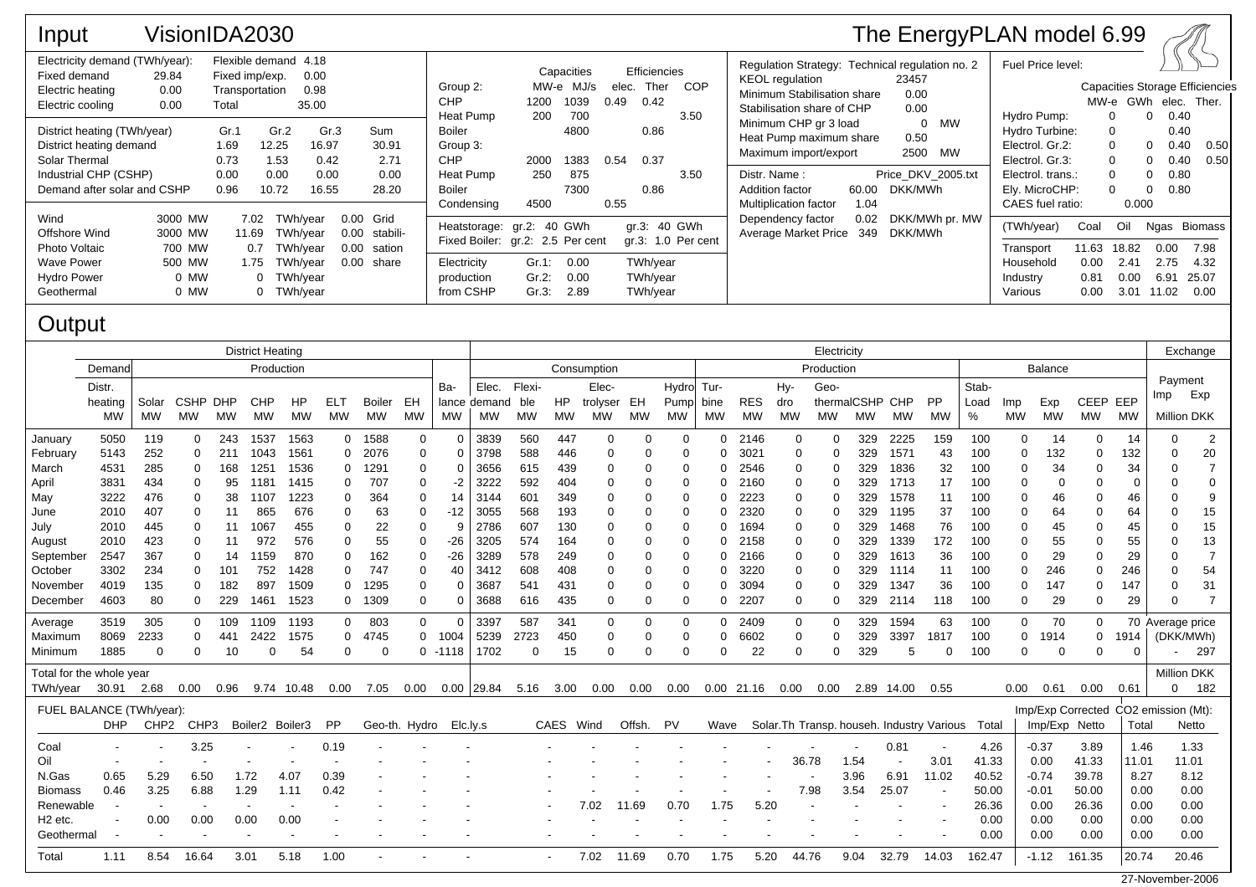| Input                                                                                                                           | VisionIDA2030                                          |                                                                                            |                                        |                                              |                                                                  |                                                                                                         |                           |                             |                                           |                                                  |                                                                                                                                        |                                                                                                                                              |                       | The EnergyPLAN model 6.99                                |                                                                                                                 |                                       |                                      |                                                                            |                                               |
|---------------------------------------------------------------------------------------------------------------------------------|--------------------------------------------------------|--------------------------------------------------------------------------------------------|----------------------------------------|----------------------------------------------|------------------------------------------------------------------|---------------------------------------------------------------------------------------------------------|---------------------------|-----------------------------|-------------------------------------------|--------------------------------------------------|----------------------------------------------------------------------------------------------------------------------------------------|----------------------------------------------------------------------------------------------------------------------------------------------|-----------------------|----------------------------------------------------------|-----------------------------------------------------------------------------------------------------------------|---------------------------------------|--------------------------------------|----------------------------------------------------------------------------|-----------------------------------------------|
| Electricity demand (TWh/year):<br>Fixed demand<br>Electric heating<br>Electric cooling                                          | 29.84<br>0.00<br>0.00                                  | Flexible demand 4.18<br>Fixed imp/exp.<br>0.00<br>0.98<br>Transportation<br>35.00<br>Total |                                        |                                              | Group 2:<br><b>CHP</b><br>Heat Pump                              | MW-e MJ/s<br>1200<br>200                                                                                | Capacities<br>1039<br>700 | 0.49                        | Efficiencies<br>Ther COP<br>elec.<br>0.42 |                                                  | Regulation Strategy: Technical regulation no. 2<br><b>KEOL</b> regulation<br>Minimum Stabilisation share<br>Stabilisation share of CHP |                                                                                                                                              | 23457<br>0.00<br>0.00 | Fuel Price level:<br>Hydro Pump:                         | MW-е                                                                                                            |                                       | 0.40<br>$\Omega$                     | <b>Capacities Storage Efficiencies</b><br>GWh elec. Ther.                  |                                               |
| District heating (TWh/year)<br>District heating demand<br>Solar Thermal<br>Industrial CHP (CSHP)<br>Demand after solar and CSHP |                                                        | Gr.1<br>1.69<br>0.73<br>0.00<br>0.96                                                       | Gr.2<br>12.25<br>1.53<br>0.00<br>10.72 | Gr.3<br>16.97<br>0.42<br>0.00<br>16.55       | Sum<br>30.91<br>2.71<br>0.00<br>28.20                            | Boiler<br>Group 3:<br><b>CHP</b><br>Heat Pump<br>Boiler<br>Condensing                                   | 2000<br>250<br>4500       | 4800<br>1383<br>875<br>7300 | 0.54<br>0.55                              | 0.86<br>0.37<br>0.86                             | 3.50<br>3.50                                                                                                                           | Minimum CHP gr 3 load<br>Heat Pump maximum share<br>Maximum import/export<br>Distr. Name:<br>Addition factor<br><b>Multiplication factor</b> | 60.00<br>1.04         | 0 MW<br>0.50<br>2500 MW<br>Price DKV 2005.txt<br>DKK/MWh | Hydro Turbine:<br>Electrol. Gr.2:<br>Electrol. Gr.3:<br>Electrol. trans.:<br>Ely. MicroCHP:<br>CAES fuel ratio: |                                       | $\Omega$<br>0.000                    | 0.40<br>0.40<br>$\mathbf{0}$<br>0.40<br>0<br>0.80<br>0<br>0.80<br>$\Omega$ | 0.50<br>0.50                                  |
| Wind<br>Offshore Wind<br>Photo Voltaic<br><b>Wave Power</b><br><b>Hydro Power</b><br>Geothermal                                 | 3000 MW<br>3000 MW<br>700 MW<br>500 MW<br>0 MW<br>0 MW | 7.02<br>11.69<br>0.7<br>1.75                                                               | 0 TWh/year<br>0 TWh/vear               | TWh/vear<br>TWh/vear<br>TWh/vear<br>TWh/year | 0.00<br>Grid<br>0.00<br>stabili-<br>0.00<br>sation<br>0.00 share | Heatstorage: gr.2: 40 GWh<br>Fixed Boiler: gr.2: 2.5 Per cent<br>Electricity<br>production<br>from CSHP | Gr.1:<br>Gr.2:<br>Gr.3:   | 0.00<br>0.00<br>2.89        |                                           | gr.3: 40 GWh<br>TWh/year<br>TWh/year<br>TWh/year | $qr.3: 1.0$ Per cent                                                                                                                   | Dependency factor<br><b>Average Market Price</b>                                                                                             | 0.02<br>349           | DKK/MWh pr. MW<br>DKK/MWh                                | (TWh/year)<br>Transport<br>Household<br>Industry<br>Various                                                     | Coal<br>11.63<br>0.00<br>0.81<br>0.00 | Oil<br>18.82<br>2.41<br>0.00<br>3.01 | 0.00<br>2.75<br>6.91<br>11.02                                              | Ngas Biomass<br>7.98<br>4.32<br>25.07<br>0.00 |

## **Output**

|                          | <b>District Heating</b>  |                          |          |            |                          |                          |           |               |              | Electricity |              |                                             |           |            |          |             |      |              |             |      |                 |       | Exchange                                   |        |      |               |              |                                      |                    |                |  |
|--------------------------|--------------------------|--------------------------|----------|------------|--------------------------|--------------------------|-----------|---------------|--------------|-------------|--------------|---------------------------------------------|-----------|------------|----------|-------------|------|--------------|-------------|------|-----------------|-------|--------------------------------------------|--------|------|---------------|--------------|--------------------------------------|--------------------|----------------|--|
|                          | Demand                   | Production               |          |            |                          |                          |           |               |              |             |              | Consumption<br>Production<br><b>Balance</b> |           |            |          |             |      |              |             |      |                 |       |                                            |        |      |               |              |                                      |                    |                |  |
|                          | Distr.                   | Ba-                      |          |            |                          |                          |           |               | Elec.        | Flexi-      |              | Elec-                                       |           | Hydro Tur- |          |             | Hy-  | Geo-         |             |      |                 | Stab- |                                            |        |      |               | Payment      |                                      |                    |                |  |
|                          | heating                  | Solar                    | CSHP     | <b>DHP</b> | <b>CHP</b>               | <b>HP</b>                | ELT       | <b>Boiler</b> | EH           |             | lance demand | ble                                         | <b>HP</b> | trolyser   | EH       | Pump        | bine | <b>RES</b>   | dro         |      | thermalCSHP CHP |       | <b>PP</b>                                  | Load   | Imp  | Exp           | CEEP EEP     |                                      | Imp                | Exp            |  |
|                          | MW                       | МW                       | MW       | МW         | MW                       | <b>MW</b>                | <b>MW</b> | MW            | <b>MW</b>    | MW          | МW           | <b>MW</b>                                   | MW        | MW         | МW       | <b>MW</b>   | MW   | <b>MW</b>    | MW          | МW   | МW              | MW    | MW                                         | %      | MW   | MW            | MW           | MW                                   | <b>Million DKK</b> |                |  |
| January                  | 5050                     | 119                      | 0        | 243        | 1537                     | 1563                     |           | 0 1588        | $\Omega$     | $\mathbf 0$ | 3839         | 560                                         | 447       | $\Omega$   | $\Omega$ | $\mathbf 0$ | 0    | 2146         | 0           | 0    | 329             | 2225  | 159                                        | 100    | 0    | 14            | $\Omega$     | 14                                   | $\Omega$           | 2              |  |
| February                 | 5143                     | 252                      | 0        | 211        | 1043                     | 1561                     | 0         | 2076          |              | 0           | 3798         | 588                                         | 446       | O          | $\Omega$ | 0           | 0    | 3021         | 0           | 0    | 329             | 1571  | 43                                         | 100    | 0    | 132           |              | 132                                  | $\Omega$           | 20             |  |
| March                    | 4531                     | 285                      | 0        | 168        | 125'                     | 1536                     | 0         | 1291          |              | 0           | 3656         | 615                                         | 439       |            | $\Omega$ | $\mathbf 0$ | 0    | 2546         | 0           | 0    | 329             | 1836  | 32                                         | 100    | 0    | 34            | 0            | 34                                   | $\Omega$           | $\overline{7}$ |  |
| April                    | 3831                     | 434                      | 0        | 95         | 1181                     | 1415                     | 0         | 707           |              | -2          | 3222         | 592                                         | 404       |            | 0        | 0           | 0    | 2160         | 0           | 0    | 329             | 1713  | 17                                         | 100    | 0    | $\Omega$      | n            | $\Omega$                             |                    | 0              |  |
| May                      | 3222                     | 476                      | 0        | 38         | 1107                     | 1223                     | 0         | 364           |              | 14          | 3144         | 601                                         | 349       |            | 0        | 0           | 0    | 2223         | 0           | 0    | 329             | 1578  | 11                                         | 100    | 0    | 46            |              | 46                                   |                    | 9              |  |
| June                     | 2010                     | 407                      | 0        | 11         | 865                      | 676                      | $\Omega$  | 63            |              | $-12$       | 3055         | 568                                         | 193       |            | $\Omega$ | 0           | 0    | 2320         | 0           | 0    | 329             | 1195  | 37                                         | 100    | 0    | 64            |              | 64                                   |                    | 15             |  |
| July                     | 2010                     | 445                      | 0        | 11         | 1067                     | 455                      | $\Omega$  | 22            | $\Omega$     | 9           | 2786         | 607                                         | 130       |            |          | 0           | 0    | 1694         | 0           | 0    | 329             | 1468  | 76                                         | 100    | 0    | 45            |              | 45                                   |                    | 15             |  |
| August                   | 2010                     | 423                      | 0        | 11         | 972                      | 576                      | $\Omega$  | 55            |              | $-26$       | 3205         | 574                                         | 164       |            |          | 0           | 0    | 2158         | 0           | 0    | 329             | 1339  | 172                                        | 100    | 0    | 55            |              | 55                                   |                    | 13             |  |
| September                | 2547                     | 367                      | 0        | 14         | 1159                     | 870                      | 0         | 162           | $\Omega$     | $-26$       | 3289         | 578                                         | 249       |            | $\Omega$ | 0           | 0    | 2166         | 0           | 0    | 329             | 1613  | 36                                         | 100    | 0    | 29            |              | 29                                   |                    | $\overline{7}$ |  |
| October                  | 3302                     | 234                      | 0        | 101        | 752                      | 1428                     | $\Omega$  | 747           | $\Omega$     | 40          | 3412         | 608                                         | 408       |            | 0        | 0           | 0    | 3220         | 0           | 0    | 329             | 1114  | 11                                         | 100    | 0    | 246           | 0            | 246                                  |                    | 54             |  |
| November                 | 4019                     | 135                      |          | 182        | 897                      | 1509                     | 0         | 1295          | $\Omega$     | $\Omega$    | 3687         | 541                                         | 431       |            | 0        | $\mathbf 0$ | 0    | 3094         | 0           | 0    | 329             | 1347  | 36                                         | 100    | 0    | 147           | 0            | 147                                  |                    | 31             |  |
| December                 | 4603                     | 80                       | $\Omega$ | 229        | 1461                     | 1523                     |           | 0 1309        | 0            | $\Omega$    | 3688         | 616                                         | 435       | $\Omega$   | $\Omega$ | 0           | 0    | 2207         | $\mathbf 0$ | 0    | 329             | 2114  | 118                                        | 100    | 0    | 29            | $\Omega$     | 29                                   | $\Omega$           | $\overline{7}$ |  |
| Average                  | 3519                     | 305                      | 0        | 109        | 1109                     | 1193                     | $\Omega$  | 803           | <sup>0</sup> | $\Omega$    | 3397         | 587                                         | 341       | $\Omega$   | $\Omega$ | $\mathbf 0$ | 0    | 2409         | $\mathbf 0$ | 0    | 329             | 1594  | 63                                         | 100    | 0    | 70            | <sup>0</sup> |                                      | 70 Average price   |                |  |
| Maximum                  | 8069                     | 2233                     |          | 441        | 2422                     | 1575                     | 0         | 4745          |              | 1004        | 5239         | 2723                                        | 450       | 0          | $\Omega$ | $\mathbf 0$ | 0    | 6602         | 0           | 0    | 329             | 3397  | 1817                                       | 100    | 0    | 1914          | $\Omega$     | 1914                                 | (DKK/MWh)          |                |  |
| Minimum                  | 1885                     | $\Omega$                 | 0        | 10         | 0                        | 54                       | $\Omega$  | -0            |              | $0 - 1118$  | 1702         | $\Omega$                                    | 15        | $\Omega$   | $\Omega$ | $\Omega$    | 0    | 22           | 0           | 0    | 329             | 5     | 0                                          | 100    | 0    | 0             | 0            | 0                                    |                    | 297            |  |
| Total for the whole year |                          |                          |          |            |                          |                          |           |               |              |             |              |                                             |           |            |          |             |      |              |             |      |                 |       |                                            |        |      |               |              |                                      | <b>Million DKK</b> |                |  |
| TWh/year                 | 30.91                    | 2.68                     | 0.00     | 0.96       |                          | 9.74 10.48               | 0.00      | 7.05          | 0.00         |             | $0.00$ 29.84 | 5.16                                        | 3.00      | 0.00       | 0.00     | 0.00        |      | $0.00$ 21.16 | 0.00        | 0.00 | 2.89            | 14.00 | 0.55                                       |        | 0.00 | 0.61          | 0.00         | 0.61                                 |                    | 182            |  |
|                          | FUEL BALANCE (TWh/year): |                          |          |            |                          |                          |           |               |              |             |              |                                             |           |            |          |             |      |              |             |      |                 |       |                                            |        |      |               |              | Imp/Exp Corrected CO2 emission (Mt): |                    |                |  |
|                          | <b>DHP</b>               | CHP2                     | CHP3     |            | Boiler2 Boiler3          |                          | PP        | Geo-th. Hydro |              |             | Elc.ly.s     |                                             | CAES Wind |            | Offsh.   | <b>PV</b>   | Wave |              |             |      |                 |       | Solar. Th Transp. househ. Industry Various | Total  |      | Imp/Exp Netto |              | Total                                |                    | Netto          |  |
| Coal                     |                          | ٠                        | 3.25     |            |                          |                          | 0.19      |               |              |             |              |                                             |           |            |          |             |      |              |             |      |                 | 0.81  |                                            | 4.26   |      | $-0.37$       | 3.89         | 1.46                                 |                    | 1.33           |  |
| Oil                      |                          |                          |          |            |                          |                          |           |               |              |             |              |                                             |           |            |          |             |      |              | 36.78       |      | 1.54            |       | 3.01                                       | 41.33  |      | 0.00          | 41.33        | 11.01                                | 11.01              |                |  |
| N.Gas                    | 0.65                     | 5.29                     | 6.50     |            | 1.72                     | 4.07                     | 0.39      |               |              |             |              |                                             |           |            |          |             |      |              |             |      | 3.96            | 6.91  | 11.02                                      | 40.52  |      | $-0.74$       | 39.78        | 8.27                                 |                    | 8.12           |  |
| <b>Biomass</b>           | 0.46                     | 3.25                     | 6.88     |            | 1.29                     | 1.11                     | 0.42      |               |              |             |              |                                             |           |            |          |             |      |              |             | 7.98 | 3.54            | 25.07 |                                            | 50.00  |      | $-0.01$       | 50.00        | 0.00                                 |                    | 0.00           |  |
| Renewable                |                          | $\overline{\phantom{a}}$ |          |            |                          |                          |           |               |              |             |              |                                             |           | 7.02       | 11.69    | 0.70        | 1.75 | 5.20         |             |      |                 |       |                                            | 26.36  |      | 0.00          | 26.36        | 0.00                                 |                    | 0.00           |  |
| H <sub>2</sub> etc.      |                          | 0.00                     | 0.00     |            | 0.00                     | 0.00                     |           |               |              |             |              |                                             |           |            |          |             |      |              |             |      |                 |       |                                            | 0.00   |      | 0.00          | 0.00         | 0.00                                 |                    | 0.00           |  |
| Geothermal               |                          | $\overline{\phantom{a}}$ | $\sim$   |            | $\overline{\phantom{a}}$ | $\overline{\phantom{a}}$ |           |               |              |             |              |                                             |           |            |          |             |      |              |             |      |                 |       |                                            | 0.00   |      | 0.00          | 0.00         | 0.00                                 |                    | 0.00           |  |
| Total                    | 1.11                     | 8.54                     | 16.64    |            | 3.01                     | 5.18                     | 1.00      |               |              |             |              |                                             |           | 7.02       | 11.69    | 0.70        | 1.75 | 5.20         | 44.76       |      | 9.04            | 32.79 | 14.03                                      | 162.47 |      | $-1.12$       | 161.35       | 20.74                                | 20.46              |                |  |

27-November-2006

 $\overline{\phantom{a}}$